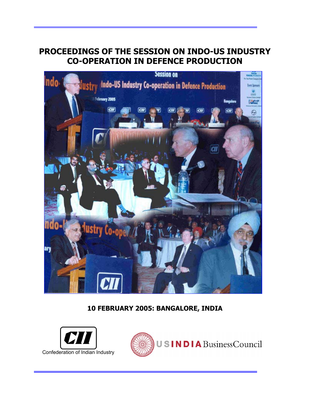# **PROCEEDINGS OF THE SESSION ON INDO-US INDUSTRY CO-OPERATION IN DEFENCE PRODUCTION**



# **10 FEBRUARY 2005: BANGALORE, INDIA**



i

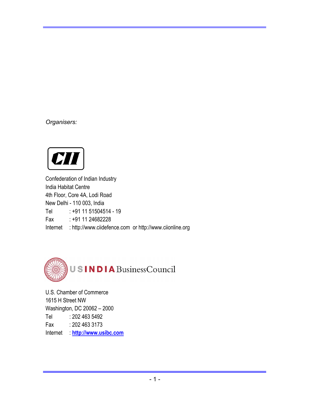*Organisers:* 



Confederation of Indian Industry India Habitat Centre 4th Floor, Core 4A, Lodi Road New Delhi - 110 003, India Tel : +91 11 51504514 - 19 Fax : +91 11 24682228 Internet : http://www.ciidefence.com or http://www.ciionline.org



U.S. Chamber of Commerce 1615 H Street NW Washington, DC 20062 – 2000 Tel : 202 463 5492 Fax : 202 463 3173 Internet : **http://www.usibc.com**

i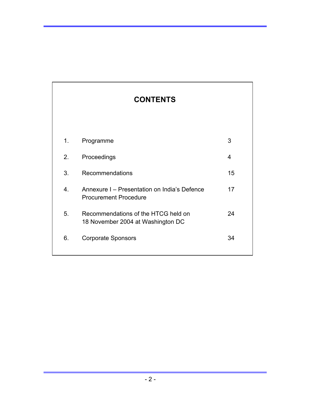|    | <b>CONTENTS</b>                                                              |    |
|----|------------------------------------------------------------------------------|----|
|    |                                                                              |    |
| 1. | Programme                                                                    | 3  |
| 2. | Proceedings                                                                  | 4  |
| 3. | Recommendations                                                              | 15 |
| 4. | Annexure I - Presentation on India's Defence<br><b>Procurement Procedure</b> | 17 |
| 5. | Recommendations of the HTCG held on<br>18 November 2004 at Washington DC     | 24 |
| 6. | <b>Corporate Sponsors</b>                                                    | 34 |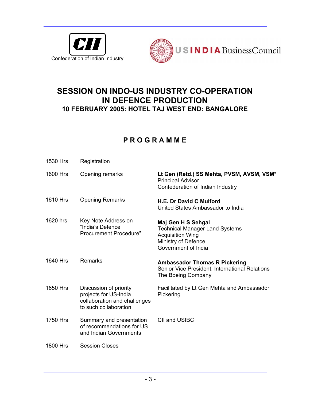



# **SESSION ON INDO-US INDUSTRY CO-OPERATION IN DEFENCE PRODUCTION 10 FEBRUARY 2005: HOTEL TAJ WEST END: BANGALORE**

# **P R O G R A M M E**

| 1530 Hrs | Registration                                                                                             |                                                                                                                                      |
|----------|----------------------------------------------------------------------------------------------------------|--------------------------------------------------------------------------------------------------------------------------------------|
| 1600 Hrs | Opening remarks                                                                                          | Lt Gen (Retd.) SS Mehta, PVSM, AVSM, VSM*<br><b>Principal Advisor</b><br>Confederation of Indian Industry                            |
| 1610 Hrs | <b>Opening Remarks</b>                                                                                   | H.E. Dr David C Mulford<br>United States Ambassador to India                                                                         |
| 1620 hrs | Key Note Address on<br>"India's Defence<br><b>Procurement Procedure"</b>                                 | Maj Gen H S Sehgal<br><b>Technical Manager Land Systems</b><br><b>Acquisition Wing</b><br>Ministry of Defence<br>Government of India |
| 1640 Hrs | Remarks                                                                                                  | <b>Ambassador Thomas R Pickering</b><br>Senior Vice President, International Relations                                               |
|          |                                                                                                          | The Boeing Company                                                                                                                   |
| 1650 Hrs | Discussion of priority<br>projects for US-India<br>collaboration and challenges<br>to such collaboration | Facilitated by Lt Gen Mehta and Ambassador<br>Pickering                                                                              |
| 1750 Hrs | Summary and presentation<br>of recommendations for US<br>and Indian Governments                          | CII and USIBC                                                                                                                        |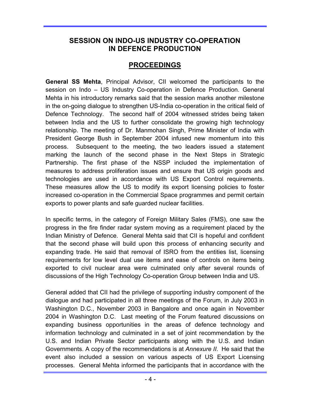# **SESSION ON INDO-US INDUSTRY CO-OPERATION IN DEFENCE PRODUCTION**

# **PROCEEDINGS**

**General SS Mehta**, Principal Advisor, CII welcomed the participants to the session on Indo – US Industry Co-operation in Defence Production. General Mehta in his introductory remarks said that the session marks another milestone in the on-going dialogue to strengthen US-India co-operation in the critical field of Defence Technology. The second half of 2004 witnessed strides being taken between India and the US to further consolidate the growing high technology relationship. The meeting of Dr. Manmohan Singh, Prime Minister of India with President George Bush in September 2004 infused new momentum into this process. Subsequent to the meeting, the two leaders issued a statement marking the launch of the second phase in the Next Steps in Strategic Partnership. The first phase of the NSSP included the implementation of measures to address proliferation issues and ensure that US origin goods and technologies are used in accordance with US Export Control requirements. These measures allow the US to modify its export licensing policies to foster increased co-operation in the Commercial Space programmes and permit certain exports to power plants and safe guarded nuclear facilities.

In specific terms, in the category of Foreign Military Sales (FMS), one saw the progress in the fire finder radar system moving as a requirement placed by the Indian Ministry of Defence. General Mehta said that CII is hopeful and confident that the second phase will build upon this process of enhancing security and expanding trade. He said that removal of ISRO from the entities list, licensing requirements for low level dual use items and ease of controls on items being exported to civil nuclear area were culminated only after several rounds of discussions of the High Technology Co-operation Group between India and US.

General added that CII had the privilege of supporting industry component of the dialogue and had participated in all three meetings of the Forum, in July 2003 in Washington D.C., November 2003 in Bangalore and once again in November 2004 in Washington D.C. Last meeting of the Forum featured discussions on expanding business opportunities in the areas of defence technology and information technology and culminated in a set of joint recommendation by the U.S. and Indian Private Sector participants along with the U.S. and Indian Governments. A copy of the recommendations is at *Annexure II*. He said that the event also included a session on various aspects of US Export Licensing processes. General Mehta informed the participants that in accordance with the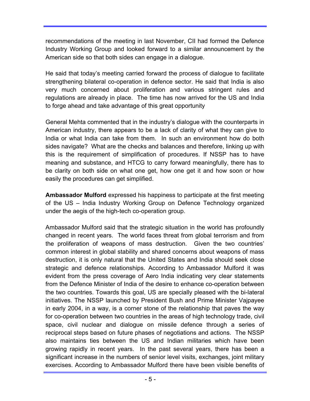recommendations of the meeting in last November, CII had formed the Defence Industry Working Group and looked forward to a similar announcement by the American side so that both sides can engage in a dialogue.

He said that today's meeting carried forward the process of dialogue to facilitate strengthening bilateral co-operation in defence sector. He said that India is also very much concerned about proliferation and various stringent rules and regulations are already in place. The time has now arrived for the US and India to forge ahead and take advantage of this great opportunity

General Mehta commented that in the industry's dialogue with the counterparts in American industry, there appears to be a lack of clarity of what they can give to India or what India can take from them. In such an environment how do both sides navigate? What are the checks and balances and therefore, linking up with this is the requirement of simplification of procedures. If NSSP has to have meaning and substance, and HTCG to carry forward meaningfully, there has to be clarity on both side on what one get, how one get it and how soon or how easily the procedures can get simplified.

**Ambassador Mulford** expressed his happiness to participate at the first meeting of the US – India Industry Working Group on Defence Technology organized under the aegis of the high-tech co-operation group.

Ambassador Mulford said that the strategic situation in the world has profoundly changed in recent years. The world faces threat from global terrorism and from the proliferation of weapons of mass destruction. Given the two countries' common interest in global stability and shared concerns about weapons of mass destruction, it is only natural that the United States and India should seek close strategic and defence relationships. According to Ambassador Mulford it was evident from the press coverage of Aero India indicating very clear statements from the Defence Minister of India of the desire to enhance co-operation between the two countries. Towards this goal, US are specially pleased with the bi-lateral initiatives. The NSSP launched by President Bush and Prime Minister Vajpayee in early 2004, in a way, is a corner stone of the relationship that paves the way for co-operation between two countries in the areas of high technology trade, civil space, civil nuclear and dialogue on missile defence through a series of reciprocal steps based on future phases of negotiations and actions. The NSSP also maintains ties between the US and Indian militaries which have been growing rapidly in recent years. In the past several years, there has been a significant increase in the numbers of senior level visits, exchanges, joint military exercises. According to Ambassador Mulford there have been visible benefits of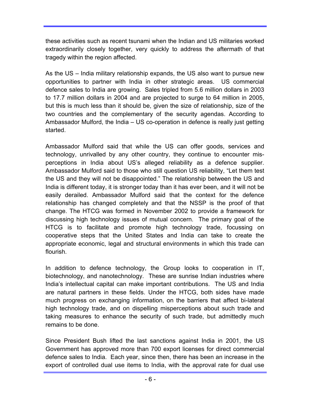these activities such as recent tsunami when the Indian and US militaries worked extraordinarily closely together, very quickly to address the aftermath of that tragedy within the region affected.

As the US – India military relationship expands, the US also want to pursue new opportunities to partner with India in other strategic areas. US commercial defence sales to India are growing. Sales tripled from 5.6 million dollars in 2003 to 17.7 million dollars in 2004 and are projected to surge to 64 million in 2005, but this is much less than it should be, given the size of relationship, size of the two countries and the complementary of the security agendas. According to Ambassador Mulford, the India – US co-operation in defence is really just getting started.

Ambassador Mulford said that while the US can offer goods, services and technology, unrivalled by any other country, they continue to encounter misperceptions in India about US's alleged reliability as a defence supplier. Ambassador Mulford said to those who still question US reliability, "Let them test the US and they will not be disappointed." The relationship between the US and India is different today, it is stronger today than it has ever been, and it will not be easily derailed. Ambassador Mulford said that the context for the defence relationship has changed completely and that the NSSP is the proof of that change. The HTCG was formed in November 2002 to provide a framework for discussing high technology issues of mutual concern. The primary goal of the HTCG is to facilitate and promote high technology trade, focussing on cooperative steps that the United States and India can take to create the appropriate economic, legal and structural environments in which this trade can flourish.

In addition to defence technology, the Group looks to cooperation in IT, biotechnology, and nanotechnology. These are sunrise Indian industries where India's intellectual capital can make important contributions. The US and India are natural partners in these fields. Under the HTCG, both sides have made much progress on exchanging information, on the barriers that affect bi-lateral high technology trade, and on dispelling misperceptions about such trade and taking measures to enhance the security of such trade, but admittedly much remains to be done.

Since President Bush lifted the last sanctions against India in 2001, the US Government has approved more than 700 export licenses for direct commercial defence sales to India. Each year, since then, there has been an increase in the export of controlled dual use items to India, with the approval rate for dual use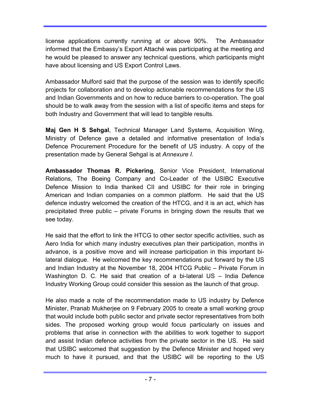license applications currently running at or above 90%. The Ambassador informed that the Embassy's Export Attaché was participating at the meeting and he would be pleased to answer any technical questions, which participants might have about licensing and US Export Control Laws.

Ambassador Mulford said that the purpose of the session was to identify specific projects for collaboration and to develop actionable recommendations for the US and Indian Governments and on how to reduce barriers to co-operation. The goal should be to walk away from the session with a list of specific items and steps for both Industry and Government that will lead to tangible results.

**Maj Gen H S Sehgal**, Technical Manager Land Systems, Acquisition Wing, Ministry of Defence gave a detailed and informative presentation of India's Defence Procurement Procedure for the benefit of US industry. A copy of the presentation made by General Sehgal is at *Annexure I.* 

**Ambassador Thomas R. Pickering**, Senior Vice President, International Relations, The Boeing Company and Co-Leader of the USIBC Executive Defence Mission to India thanked CII and USIBC for their role in bringing American and Indian companies on a common platform. He said that the US defence industry welcomed the creation of the HTCG, and it is an act, which has precipitated three public – private Forums in bringing down the results that we see today.

He said that the effort to link the HTCG to other sector specific activities, such as Aero India for which many industry executives plan their participation, months in advance, is a positive move and will increase participation in this important bilateral dialogue. He welcomed the key recommendations put forward by the US and Indian Industry at the November 18, 2004 HTCG Public – Private Forum in Washington D. C. He said that creation of a bi-lateral US – India Defence Industry Working Group could consider this session as the launch of that group.

He also made a note of the recommendation made to US industry by Defence Minister, Pranab Mukherjee on 9 February 2005 to create a small working group that would include both public sector and private sector representatives from both sides. The proposed working group would focus particularly on issues and problems that arise in connection with the abilities to work together to support and assist Indian defence activities from the private sector in the US. He said that USIBC welcomed that suggestion by the Defence Minister and hoped very much to have it pursued, and that the USIBC will be reporting to the US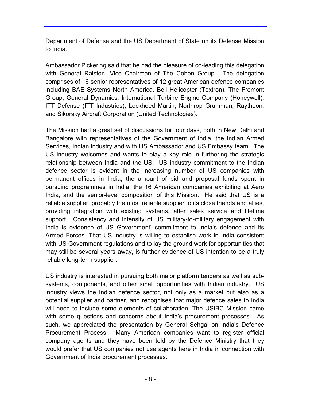Department of Defense and the US Department of State on its Defense Mission to India.

Ambassador Pickering said that he had the pleasure of co-leading this delegation with General Ralston, Vice Chairman of The Cohen Group. The delegation comprises of 16 senior representatives of 12 great American defence companies including BAE Systems North America, Bell Helicopter (Textron), The Fremont Group, General Dynamics, International Turbine Engine Company (Honeywell), ITT Defense (ITT Industries), Lockheed Martin, Northrop Grumman, Raytheon, and Sikorsky Aircraft Corporation (United Technologies).

The Mission had a great set of discussions for four days, both in New Delhi and Bangalore with representatives of the Government of India, the Indian Armed Services, Indian industry and with US Ambassador and US Embassy team. The US industry welcomes and wants to play a key role in furthering the strategic relationship between India and the US. US industry commitment to the Indian defence sector is evident in the increasing number of US companies with permanent offices in India, the amount of bid and proposal funds spent in pursuing programmes in India, the 16 American companies exhibiting at Aero India, and the senior-level composition of this Mission. He said that US is a reliable supplier, probably the most reliable supplier to its close friends and allies, providing integration with existing systems, after sales service and lifetime support. Consistency and intensity of US military-to-military engagement with India is evidence of US Government' commitment to India's defence and its Armed Forces. That US industry is willing to establish work in India consistent with US Government regulations and to lay the ground work for opportunities that may still be several years away, is further evidence of US intention to be a truly reliable long-term supplier.

US industry is interested in pursuing both major platform tenders as well as subsystems, components, and other small opportunities with Indian industry. US industry views the Indian defence sector, not only as a market but also as a potential supplier and partner, and recognises that major defence sales to India will need to include some elements of collaboration. The USIBC Mission came with some questions and concerns about India's procurement processes. As such, we appreciated the presentation by General Sehgal on India's Defence Procurement Process. Many American companies want to register official company agents and they have been told by the Defence Ministry that they would prefer that US companies not use agents here in India in connection with Government of India procurement processes.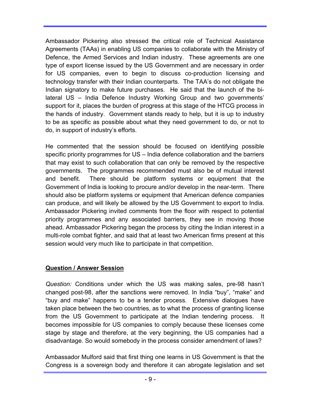Ambassador Pickering also stressed the critical role of Technical Assistance Agreements (TAAs) in enabling US companies to collaborate with the Ministry of Defence, the Armed Services and Indian industry. These agreements are one type of export license issued by the US Government and are necessary in order for US companies, even to begin to discuss co-production licensing and technology transfer with their Indian counterparts. The TAA's do not obligate the Indian signatory to make future purchases. He said that the launch of the bilateral US – India Defence Industry Working Group and two governments' support for it, places the burden of progress at this stage of the HTCG process in the hands of industry. Government stands ready to help, but it is up to industry to be as specific as possible about what they need government to do, or not to do, in support of industry's efforts.

He commented that the session should be focused on identifying possible specific priority programmes for US – India defence collaboration and the barriers that may exist to such collaboration that can only be removed by the respective governments. The programmes recommended must also be of mutual interest and benefit. There should be platform systems or equipment that the Government of India is looking to procure and/or develop in the near-term. There should also be platform systems or equipment that American defence companies can produce, and will likely be allowed by the US Government to export to India. Ambassador Pickering invited comments from the floor with respect to potential priority programmes and any associated barriers, they see in moving those ahead. Ambassador Pickering began the process by citing the Indian interest in a multi-role combat fighter, and said that at least two American firms present at this session would very much like to participate in that competition.

### **Question / Answer Session**

*Question:* Conditions under which the US was making sales, pre-98 hasn't changed post-98, after the sanctions were removed. In India "buy", "make" and "buy and make" happens to be a tender process. Extensive dialogues have taken place between the two countries, as to what the process of granting license from the US Government to participate at the Indian tendering process. becomes impossible for US companies to comply because these licenses come stage by stage and therefore, at the very beginning, the US companies had a disadvantage. So would somebody in the process consider amendment of laws?

Ambassador Mulford said that first thing one learns in US Government is that the Congress is a sovereign body and therefore it can abrogate legislation and set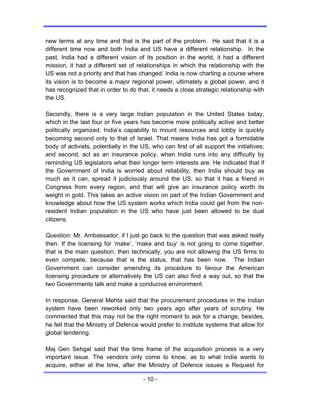new terms at any time and that is the part of the problem. He said that it is a different time now and both India and US have a different relationship. In the past, India had a different vision of its position in the world, it had a different mission, it had a different set of relationships in which the relationship with the US was not a priority and that has changed. India is now charting a course where its vision is to become a major regional power, ultimately a global power, and it has recognized that in order to do that, it needs a close strategic relationship with the US.

Secondly, there is a very large Indian population in the United States today, which in the last four or five years has become more politically active and better politically organized. India's capability to mount resources and lobby is quickly becoming second only to that of Israel. That means India has got a formidable body of activists, potentially in the US, who can first of all support the initiatives; and second, act as an insurance policy, when India runs into any difficulty by reminding US legislators what their longer term interests are. He indicated that if the Government of India is worried about reliability, then India should buy as much as it can, spread it judiciously around the US, so that it has a friend in Congress from every region, and that will give an insurance policy worth its weight in gold. This takes an active vision on part of the Indian Government and knowledge about how the US system works which India could get from the nonresident Indian population in the US who have just been allowed to be dual citizens.

*Question:* Mr. Ambassador, if I just go back to the question that was asked really then. If the licensing for 'make', 'make and buy' is not going to come together, that is the main question, then technically, you are not allowing the US firms to even compete, because that is the status, that has been now. The Indian Government can consider amending its procedure to favour the American licensing procedure or alternatively the US can also find a way out, so that the two Governments talk and make a conducive environment.

In response, General Mehta said that the procurement procedures in the Indian system have been reworked only two years ago after years of scrutiny. He commented that this may not be the right moment to ask for a change, besides, he felt that the Ministry of Defence would prefer to institute systems that allow for global tendering.

Maj Gen Sehgal said that the time frame of the acquisition process is a very important issue. The vendors only come to know, as to what India wants to acquire, either at the time, after the Ministry of Defence issues a Request for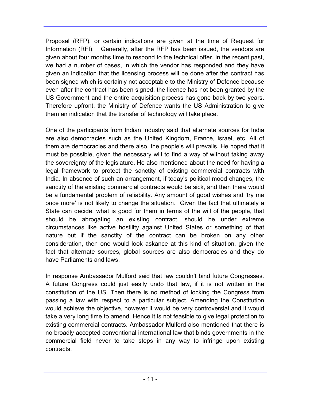Proposal (RFP), or certain indications are given at the time of Request for Information (RFI). Generally, after the RFP has been issued, the vendors are given about four months time to respond to the technical offer. In the recent past, we had a number of cases, in which the vendor has responded and they have given an indication that the licensing process will be done after the contract has been signed which is certainly not acceptable to the Ministry of Defence because even after the contract has been signed, the licence has not been granted by the US Government and the entire acquisition process has gone back by two years. Therefore upfront, the Ministry of Defence wants the US Administration to give them an indication that the transfer of technology will take place.

One of the participants from Indian Industry said that alternate sources for India are also democracies such as the United Kingdom, France, Israel, etc. All of them are democracies and there also, the people's will prevails. He hoped that it must be possible, given the necessary will to find a way of without taking away the sovereignty of the legislature. He also mentioned about the need for having a legal framework to protect the sanctity of existing commercial contracts with India. In absence of such an arrangement, if today's political mood changes, the sanctity of the existing commercial contracts would be sick, and then there would be a fundamental problem of reliability. Any amount of good wishes and 'try me once more' is not likely to change the situation. Given the fact that ultimately a State can decide, what is good for them in terms of the will of the people, that should be abrogating an existing contract, should be under extreme circumstances like active hostility against United States or something of that nature but if the sanctity of the contract can be broken on any other consideration, then one would look askance at this kind of situation, given the fact that alternate sources, global sources are also democracies and they do have Parliaments and laws.

In response Ambassador Mulford said that law couldn't bind future Congresses. A future Congress could just easily undo that law, if it is not written in the constitution of the US. Then there is no method of locking the Congress from passing a law with respect to a particular subject. Amending the Constitution would achieve the objective, however it would be very controversial and it would take a very long time to amend. Hence it is not feasible to give legal protection to existing commercial contracts. Ambassador Mulford also mentioned that there is no broadly accepted conventional international law that binds governments in the commercial field never to take steps in any way to infringe upon existing contracts.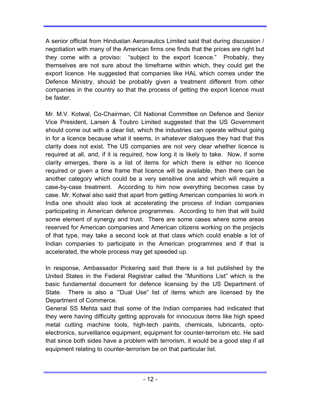A senior official from Hindustan Aeronautics Limited said that during discussion / negotiation with many of the American firms one finds that the prices are right but they come with a proviso: "subject to the export licence." Probably, they themselves are not sure about the timeframe within which, they could get the export licence. He suggested that companies like HAL which comes under the Defence Ministry, should be probably given a treatment different from other companies in the country so that the process of getting the export licence must be faster.

Mr. M.V. Kotwal, Co-Chairman, CII National Committee on Defence and Senior Vice President, Larsen & Toubro Limited suggested that the US Government should come out with a clear list, which the industries can operate without going in for a licence because what it seems, in whatever dialogues they had that this clarity does not exist. The US companies are not very clear whether licence is required at all, and, if it is required, how long it is likely to take. Now, if some clarity emerges, there is a list of items for which there is either no licence required or given a time frame that licence will be available, then there can be another category which could be a very sensitive one and which will require a case-by-case treatment. According to him now everything becomes case by case. Mr. Kotwal also said that apart from getting American companies to work in India one should also look at accelerating the process of Indian companies participating in American defence programmes. According to him that will build some element of synergy and trust. There are some cases where some areas reserved for American companies and American citizens working on the projects of that type, may take a second look at that class which could enable a lot of Indian companies to participate in the American programmes and if that is accelerated, the whole process may get speeded up.

In response, Ambassador Pickering said that there is a list published by the United States in the Federal Registrar called the "Munitions List" which is the basic fundamental document for defence licensing by the US Department of State. There is also a '"Dual Use" list of items which are licensed by the Department of Commerce.

General SS Mehta said that some of the Indian companies had indicated that they were having difficulty getting approvals for innocuous items like high speed metal cutting machine tools, high-tech paints, chemicals, lubricants, optoelectronics, surveillance equipment, equipment for counter-terrorism etc. He said that since both sides have a problem with terrorism, it would be a good step if all equipment relating to counter-terrorism be on that particular list.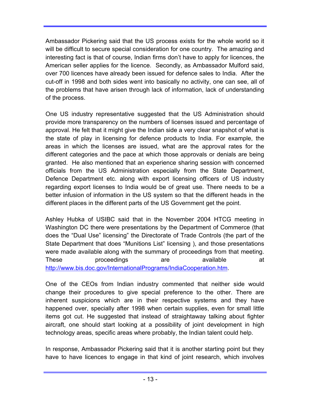Ambassador Pickering said that the US process exists for the whole world so it will be difficult to secure special consideration for one country. The amazing and interesting fact is that of course, Indian firms don't have to apply for licences, the American seller applies for the licence. Secondly, as Ambassador Mulford said, over 700 licences have already been issued for defence sales to India. After the cut-off in 1998 and both sides went into basically no activity, one can see, all of the problems that have arisen through lack of information, lack of understanding of the process.

One US industry representative suggested that the US Administration should provide more transparency on the numbers of licenses issued and percentage of approval. He felt that it might give the Indian side a very clear snapshot of what is the state of play in licensing for defence products to India. For example, the areas in which the licenses are issued, what are the approval rates for the different categories and the pace at which those approvals or denials are being granted. He also mentioned that an experience sharing session with concerned officials from the US Administration especially from the State Department, Defence Department etc. along with export licensing officers of US industry regarding export licenses to India would be of great use. There needs to be a better infusion of information in the US system so that the different heads in the different places in the different parts of the US Government get the point.

Ashley Hubka of USIBC said that in the November 2004 HTCG meeting in Washington DC there were presentations by the Department of Commerce (that does the "Dual Use" licensing" the Directorate of Trade Controls (the part of the State Department that does "Munitions List" licensing ), and those presentations were made available along with the summary of proceedings from that meeting. These proceedings are available at http://www.bis.doc.gov/InternationalPrograms/IndiaCooperation.htm.

One of the CEOs from Indian industry commented that neither side would change their procedures to give special preference to the other. There are inherent suspicions which are in their respective systems and they have happened over, specially after 1998 when certain supplies, even for small little items got cut. He suggested that instead of straightaway talking about fighter aircraft, one should start looking at a possibility of joint development in high technology areas, specific areas where probably, the Indian talent could help.

In response, Ambassador Pickering said that it is another starting point but they have to have licences to engage in that kind of joint research, which involves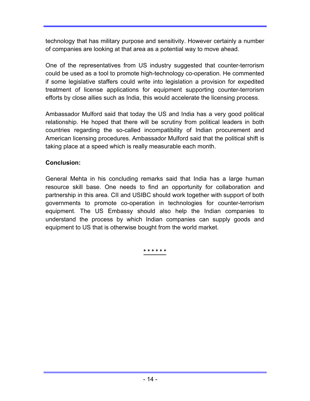technology that has military purpose and sensitivity. However certainly a number of companies are looking at that area as a potential way to move ahead.

One of the representatives from US industry suggested that counter-terrorism could be used as a tool to promote high-technology co-operation. He commented if some legislative staffers could write into legislation a provision for expedited treatment of license applications for equipment supporting counter-terrorism efforts by close allies such as India, this would accelerate the licensing process.

Ambassador Mulford said that today the US and India has a very good political relationship. He hoped that there will be scrutiny from political leaders in both countries regarding the so-called incompatibility of Indian procurement and American licensing procedures. Ambassador Mulford said that the political shift is taking place at a speed which is really measurable each month.

### **Conclusion:**

General Mehta in his concluding remarks said that India has a large human resource skill base. One needs to find an opportunity for collaboration and partnership in this area. CII and USIBC should work together with support of both governments to promote co-operation in technologies for counter-terrorism equipment. The US Embassy should also help the Indian companies to understand the process by which Indian companies can supply goods and equipment to US that is otherwise bought from the world market.

**\* \* \* \* \* \***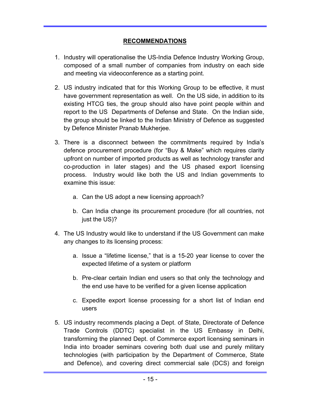### **RECOMMENDATIONS**

- 1. Industry will operationalise the US-India Defence Industry Working Group, composed of a small number of companies from industry on each side and meeting via videoconference as a starting point.
- 2. US industry indicated that for this Working Group to be effective, it must have government representation as well. On the US side, in addition to its existing HTCG ties, the group should also have point people within and report to the US Departments of Defense and State. On the Indian side, the group should be linked to the Indian Ministry of Defence as suggested by Defence Minister Pranab Mukherjee.
- 3. There is a disconnect between the commitments required by India's defence procurement procedure (for "Buy & Make" which requires clarity upfront on number of imported products as well as technology transfer and co-production in later stages) and the US phased export licensing process. Industry would like both the US and Indian governments to examine this issue:
	- a. Can the US adopt a new licensing approach?
	- b. Can India change its procurement procedure (for all countries, not just the US)?
- 4. The US Industry would like to understand if the US Government can make any changes to its licensing process:
	- a. Issue a "lifetime license," that is a 15-20 year license to cover the expected lifetime of a system or platform
	- b. Pre-clear certain Indian end users so that only the technology and the end use have to be verified for a given license application
	- c. Expedite export license processing for a short list of Indian end users
- 5. US industry recommends placing a Dept. of State, Directorate of Defence Trade Controls (DDTC) specialist in the US Embassy in Delhi, transforming the planned Dept. of Commerce export licensing seminars in India into broader seminars covering both dual use and purely military technologies (with participation by the Department of Commerce, State and Defence), and covering direct commercial sale (DCS) and foreign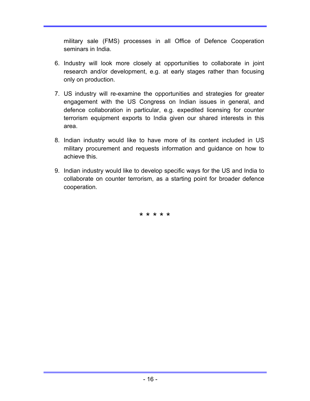military sale (FMS) processes in all Office of Defence Cooperation seminars in India.

- 6. Industry will look more closely at opportunities to collaborate in joint research and/or development, e.g. at early stages rather than focusing only on production.
- 7. US industry will re-examine the opportunities and strategies for greater engagement with the US Congress on Indian issues in general, and defence collaboration in particular, e.g. expedited licensing for counter terrorism equipment exports to India given our shared interests in this area.
- 8. Indian industry would like to have more of its content included in US military procurement and requests information and guidance on how to achieve this.
- 9. Indian industry would like to develop specific ways for the US and India to collaborate on counter terrorism, as a starting point for broader defence cooperation.

\* \* \* \* \*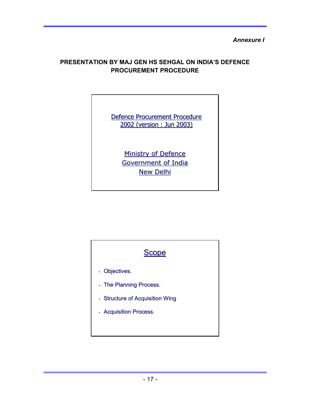*Annexure I* 

### **PRESENTATION BY MAJ GEN HS SEHGAL ON INDIA'S DEFENCE PROCUREMENT PROCEDURE**

Defence Procurement Procedure 2002 (version : Jun 2003) 2002 (version : Jun 2003)

> Ministry of Defence Government of India **New Delhi**

# Scope

- $\cdot$  Objectives.
- The Planning Process.
- $\cdot$  Structure of Acquisition Wing
- Acquisition Process.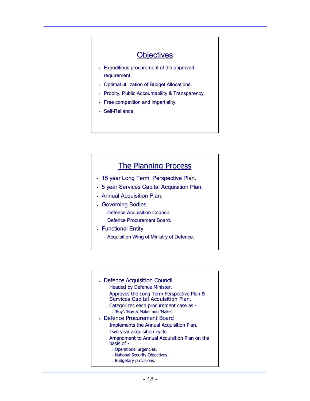# **Objectives**

- $\cdot$  Expeditious procurement of the approved requirement.
- Optimal utilization of Budget Allocations.
- Probity, Public Accountability & Transparency.
- Free competition and impartiality. Free competition and impartiality.
- Self-Reliance.

# The Planning Process

- 15 year Long Term Perspective Plan.
- 5 year Services Capital Acquisition Plan.
- Annual Acquisition Plan.
- Governing Bodies
	- **Defence Acquisition Council.**
	- Defence Procurement Board.
- Functional Entity
	- Acquisition Wing of Ministry of Defence.
- Defence Acquisition Council
	- Headed by Defence Minister.
	- Approves the Long Term Perspective Plan & Approves the Long Term Perspective Plan & Services Capital Acquisition Plan.
	- Categorizes each procurement case as -• 'Buy', 'Buy & Make' and 'Make'.
- Defence Procurement Board
	- Implements the Annual Acquisition Plan.
	- Two year acquisition cycle.
	- Amendment to Annual Acquisition Plan on the basis of  $-$ 
		- Operational urgencies.
		- National Security Objectives.
		- Budgetary provisions.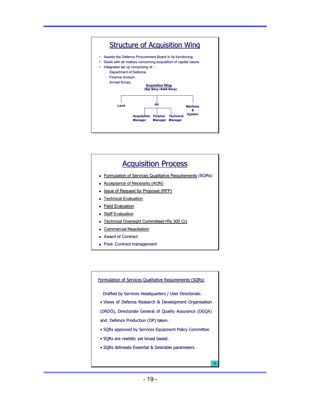

# **Acquisition Process**

- Formulation of Services Qualitative Requirements (SQRs)
- **Acceptance of Necessity (AON)**
- Issue of Request for Proposal (RFP)
- **Technical Evaluation**
- **Field Evaluation**
- Staff Evaluation
- Technical Oversight Committee(>Rs 300 Cr)
- **Commercial Negotiation**
- $\blacksquare$  Award of Contract
- **Post- Contract management**

#### Formulation of Services Qualitative Requirements (SQRs)

- Drafted by Services Headquarters / User Directorate.
- Views of Defence Research & Development Organisation
- (DRDO), Directorate General of Quality Assurance (DGQA)
- and Defence Production (DP) taken.
- SQRs approved by Services Equipment Policy Committee.
- SQRs are realistic yet broad based.
- SQRs delineate Essential & Desirable parameters.

 $\triangleleft$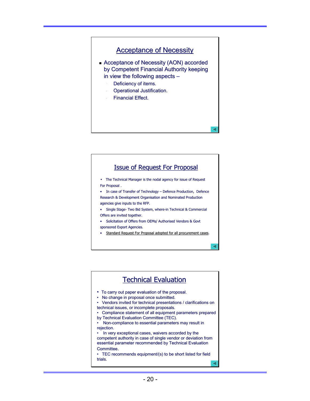# **Acceptance of Necessity** Acceptance of Necessity (AON) accorded by Competent Financial Authority keeping in view the following aspects  $-$ Deficiency of items. Operational Justification. **Financial Effect.**



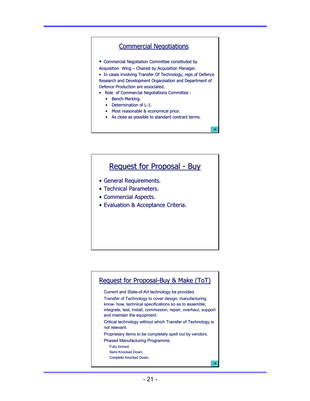### **Commercial Negotiations**

• Commercial Negotiation Committee constituted by

Acquisition Wing - Chaired by Acquisition Manager. • In cases involving Transfer Of Technology, reps of Defence Research and Development Organisation and Department of Defence Production are associated.

- Role of Commercial Negotiations Committee :
	- $\bullet$  Bench-Marking.
	- $\bullet$  Determination of L-1.
	- $\bullet$  Most reasonable & economical price.
	- As close as possible to standard contract terms.

╭

 $\triangleleft$ 

# Request for Proposal - Buy

- General Requirements.
- Technical Parameters.
- Commercial Aspects.
- Evaluation & Acceptance Criteria.

#### Request for Proposal-Buy & Make (ToT)

- Current and State-of-Art technology be provided.
- Transfer of Technology to cover design, manufacturing know- how, technical specifications so as to assemble, integrate, test, install, commission, repair, overhaul, support and maintain the equipment.
- Critical technology without which Transfer of Technology is Critical technology without which Transfer of Technology is not relevant.
- Proprietary items to be completely spelt out by vendors.
- Phased Manufacturing Programme.
	- Fully formed.
	- Semi Knocked Down.
	- Complete Knocked Down.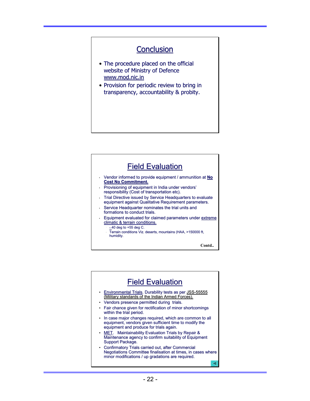# **Conclusion**

- The procedure placed on the official website of Ministry of Defence www.mod.nic.in
- Provision for periodic review to bring in transparency, accountability & probity.

#### **Field Evaluation** Vendor informed to provide equipment / ammunition at No **Cost No Commitment. Cost No Commitment.** Provisioning of equipment in India under vendors' responsibility (Cost of transportation etc). Trial Directive issued by Service Headquarters to evaluate equipment against Qualitative Requirement parameters. Service Headquarter nominates the trial units and formations to conduct trials. Equipment evaluated for claimed parameters under extreme climatic & terrain conditions.  $-40$  deg to  $+55$  deg C. Terrain conditions Viz. deserts, mountains (HAA, >150000 ft, humidity. **Contd..**

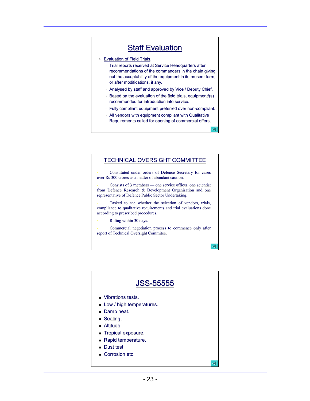# **Staff Evaluation**

- Evaluation of Field Trials.
	- Trial reports received at Service Headquarters after recommendations of the commanders in the chain giving out the acceptability of the equipment in its present form, or after modifications, if any.
	- Analysed by staff and approved by Vice / Deputy Chief.
	- Based on the evaluation of the field trials, equipment/(s) recommended for introduction into service.
	- Fully compliant equipment preferred over non-compliant.
	- All vendors with equipment compliant with Qualitative Requirements called for opening of commercial offers.

◁

#### TECHNICAL OVERSIGHT COMMITTEE

Constituted under orders of Defence Secretary for cases over Rs 300 crores as a matter of abundant caution.

Consists of 3 members — one service officer, one scientist from Defence Research  $\&$  Development Organisation and one representative of Defence Public Sector Undertaking.

Tasked to see whether the selection of vendors, trials, compliance to qualitative requirements and trial evaluations done according to prescribed procedures.

Ruling within 30 days.

Commercial negotiation process to commence only after report of Technical Oversight Commitee.

 $\triangleleft$ 

 $\triangleleft$ 

# JSS-55555 **vibrations tests. Low / high temperatures. Damp heat.**  $S$ ealing. **Altitude.**  Tropical exposure. Tropical exposure.  $Rapid$  temperature. Dust test. Corrosion etc.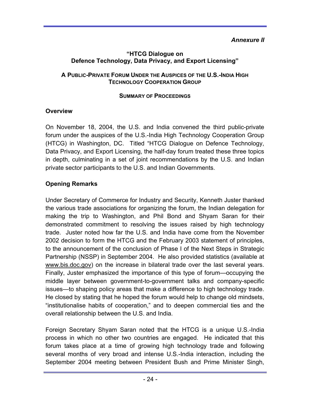### *Annexure II*

### **"HTCG Dialogue on Defence Technology, Data Privacy, and Export Licensing"**

### **A PUBLIC-PRIVATE FORUM UNDER THE AUSPICES OF THE U.S.-INDIA HIGH TECHNOLOGY COOPERATION GROUP**

### **SUMMARY OF PROCEEDINGS**

### **Overview**

On November 18, 2004, the U.S. and India convened the third public-private forum under the auspices of the U.S.-India High Technology Cooperation Group (HTCG) in Washington, DC. Titled "HTCG Dialogue on Defence Technology, Data Privacy, and Export Licensing, the half-day forum treated these three topics in depth, culminating in a set of joint recommendations by the U.S. and Indian private sector participants to the U.S. and Indian Governments.

# **Opening Remarks**

Under Secretary of Commerce for Industry and Security, Kenneth Juster thanked the various trade associations for organizing the forum, the Indian delegation for making the trip to Washington, and Phil Bond and Shyam Saran for their demonstrated commitment to resolving the issues raised by high technology trade. Juster noted how far the U.S. and India have come from the November 2002 decision to form the HTCG and the February 2003 statement of principles, to the announcement of the conclusion of Phase I of the Next Steps in Strategic Partnership (NSSP) in September 2004. He also provided statistics (available at www.bis.doc.gov) on the increase in bilateral trade over the last several years. Finally, Juster emphasized the importance of this type of forum—occupying the middle layer between government-to-government talks and company-specific issues—to shaping policy areas that make a difference to high technology trade. He closed by stating that he hoped the forum would help to change old mindsets, "institutionalise habits of cooperation," and to deepen commercial ties and the overall relationship between the U.S. and India.

Foreign Secretary Shyam Saran noted that the HTCG is a unique U.S.-India process in which no other two countries are engaged. He indicated that this forum takes place at a time of growing high technology trade and following several months of very broad and intense U.S.-India interaction, including the September 2004 meeting between President Bush and Prime Minister Singh,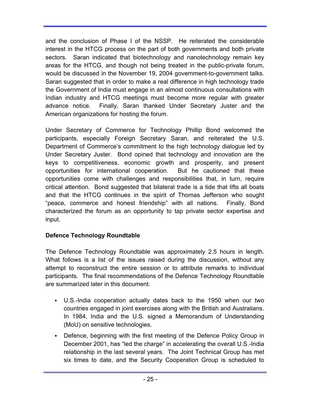and the conclusion of Phase I of the NSSP. He reiterated the considerable interest in the HTCG process on the part of both governments and both private sectors. Saran indicated that biotechnology and nanotechnology remain key areas for the HTCG, and though not being treated in the public-private forum, would be discussed in the November 19, 2004 government-to-government talks. Saran suggested that in order to make a real difference in high technology trade the Government of India must engage in an almost continuous consultations with Indian industry and HTCG meetings must become more regular with greater advance notice. Finally, Saran thanked Under Secretary Juster and the American organizations for hosting the forum.

Under Secretary of Commerce for Technology Phillip Bond welcomed the participants, especially Foreign Secretary Saran, and reiterated the U.S. Department of Commerce's commitment to the high technology dialogue led by Under Secretary Juster. Bond opined that technology and innovation are the keys to competitiveness, economic growth and prosperity, and present opportunities for international cooperation. But he cautioned that these opportunities come with challenges and responsibilities that, in turn, require critical attention. Bond suggested that bilateral trade is a tide that lifts all boats and that the HTCG continues in the spirit of Thomas Jefferson who sought "peace, commerce and honest friendship" with all nations. Finally, Bond characterized the forum as an opportunity to tap private sector expertise and input.

# **Defence Technology Roundtable**

The Defence Technology Roundtable was approximately 2.5 hours in length. What follows is a list of the issues raised during the discussion, without any attempt to reconstruct the entire session or to attribute remarks to individual participants. The final recommendations of the Defence Technology Roundtable are summarized later in this document.

- U.S.-India cooperation actually dates back to the 1950 when our two countries engaged in joint exercises along with the British and Australians. In 1984, India and the U.S. signed a Memorandum of Understanding (MoU) on sensitive technologies.
- Defence, beginning with the first meeting of the Defence Policy Group in December 2001, has "led the charge" in accelerating the overall U.S.-India relationship in the last several years. The Joint Technical Group has met six times to date, and the Security Cooperation Group is scheduled to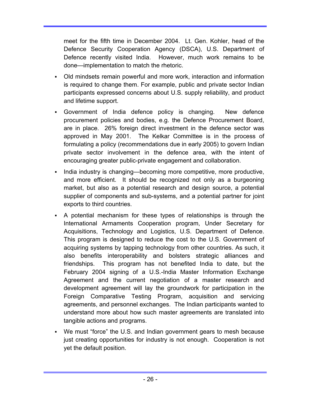meet for the fifth time in December 2004. Lt. Gen. Kohler, head of the Defence Security Cooperation Agency (DSCA), U.S. Department of Defence recently visited India. However, much work remains to be done—implementation to match the rhetoric.

- Old mindsets remain powerful and more work, interaction and information is required to change them. For example, public and private sector Indian participants expressed concerns about U.S. supply reliability, and product and lifetime support.
- Government of India defence policy is changing. New defence procurement policies and bodies, e.g. the Defence Procurement Board, are in place. 26% foreign direct investment in the defence sector was approved in May 2001. The Kelkar Committee is in the process of formulating a policy (recommendations due in early 2005) to govern Indian private sector involvement in the defence area, with the intent of encouraging greater public-private engagement and collaboration.
- India industry is changing—becoming more competitive, more productive, and more efficient. It should be recognized not only as a burgeoning market, but also as a potential research and design source, a potential supplier of components and sub-systems, and a potential partner for joint exports to third countries.
- A potential mechanism for these types of relationships is through the International Armaments Cooperation program, Under Secretary for Acquisitions, Technology and Logistics, U.S. Department of Defence. This program is designed to reduce the cost to the U.S. Government of acquiring systems by tapping technology from other countries. As such, it also benefits interoperability and bolsters strategic alliances and friendships. This program has not benefited India to date, but the February 2004 signing of a U.S.-India Master Information Exchange Agreement and the current negotiation of a master research and development agreement will lay the groundwork for participation in the Foreign Comparative Testing Program, acquisition and servicing agreements, and personnel exchanges. The Indian participants wanted to understand more about how such master agreements are translated into tangible actions and programs.
- We must "force" the U.S. and Indian government gears to mesh because just creating opportunities for industry is not enough. Cooperation is not yet the default position.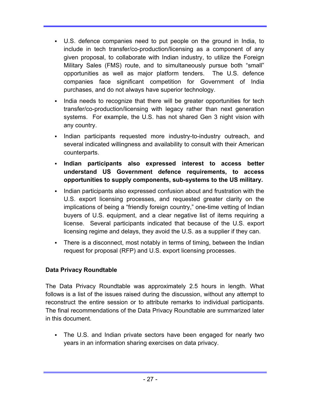- U.S. defence companies need to put people on the ground in India, to include in tech transfer/co-production/licensing as a component of any given proposal, to collaborate with Indian industry, to utilize the Foreign Military Sales (FMS) route, and to simultaneously pursue both "small" opportunities as well as major platform tenders. The U.S. defence companies face significant competition for Government of India purchases, and do not always have superior technology.
- India needs to recognize that there will be greater opportunities for tech transfer/co-production/licensing with legacy rather than next generation systems. For example, the U.S. has not shared Gen 3 night vision with any country.
- Indian participants requested more industry-to-industry outreach, and several indicated willingness and availability to consult with their American counterparts.
- **Indian participants also expressed interest to access better understand US Government defence requirements, to access opportunities to supply components, sub-systems to the US military.**
- Indian participants also expressed confusion about and frustration with the U.S. export licensing processes, and requested greater clarity on the implications of being a "friendly foreign country," one-time vetting of Indian buyers of U.S. equipment, and a clear negative list of items requiring a license. Several participants indicated that because of the U.S. export licensing regime and delays, they avoid the U.S. as a supplier if they can.
- There is a disconnect, most notably in terms of timing, between the Indian request for proposal (RFP) and U.S. export licensing processes.

# **Data Privacy Roundtable**

The Data Privacy Roundtable was approximately 2.5 hours in length. What follows is a list of the issues raised during the discussion, without any attempt to reconstruct the entire session or to attribute remarks to individual participants. The final recommendations of the Data Privacy Roundtable are summarized later in this document.

 The U.S. and Indian private sectors have been engaged for nearly two years in an information sharing exercises on data privacy.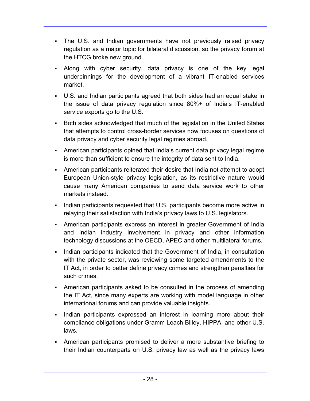- The U.S. and Indian governments have not previously raised privacy regulation as a major topic for bilateral discussion, so the privacy forum at the HTCG broke new ground.
- Along with cyber security, data privacy is one of the key legal underpinnings for the development of a vibrant IT-enabled services market.
- U.S. and Indian participants agreed that both sides had an equal stake in the issue of data privacy regulation since 80%+ of India's IT-enabled service exports go to the U.S.
- Both sides acknowledged that much of the legislation in the United States that attempts to control cross-border services now focuses on questions of data privacy and cyber security legal regimes abroad.
- American participants opined that India's current data privacy legal regime is more than sufficient to ensure the integrity of data sent to India.
- American participants reiterated their desire that India not attempt to adopt European Union-style privacy legislation, as its restrictive nature would cause many American companies to send data service work to other markets instead.
- Indian participants requested that U.S. participants become more active in relaying their satisfaction with India's privacy laws to U.S. legislators.
- American participants express an interest in greater Government of India and Indian industry involvement in privacy and other information technology discussions at the OECD, APEC and other multilateral forums.
- Indian participants indicated that the Government of India, in consultation with the private sector, was reviewing some targeted amendments to the IT Act, in order to better define privacy crimes and strengthen penalties for such crimes.
- American participants asked to be consulted in the process of amending the IT Act, since many experts are working with model language in other international forums and can provide valuable insights.
- Indian participants expressed an interest in learning more about their compliance obligations under Gramm Leach Bliley, HIPPA, and other U.S. laws.
- American participants promised to deliver a more substantive briefing to their Indian counterparts on U.S. privacy law as well as the privacy laws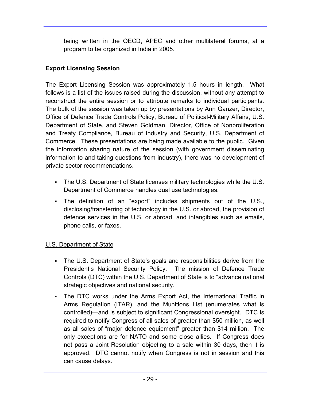being written in the OECD, APEC and other multilateral forums, at a program to be organized in India in 2005.

## **Export Licensing Session**

The Export Licensing Session was approximately 1.5 hours in length. What follows is a list of the issues raised during the discussion, without any attempt to reconstruct the entire session or to attribute remarks to individual participants. The bulk of the session was taken up by presentations by Ann Ganzer, Director, Office of Defence Trade Controls Policy, Bureau of Political-Military Affairs, U.S. Department of State, and Steven Goldman, Director, Office of Nonproliferation and Treaty Compliance, Bureau of Industry and Security, U.S. Department of Commerce. These presentations are being made available to the public. Given the information sharing nature of the session (with government disseminating information to and taking questions from industry), there was no development of private sector recommendations.

- The U.S. Department of State licenses military technologies while the U.S. Department of Commerce handles dual use technologies.
- The definition of an "export" includes shipments out of the U.S., disclosing/transferring of technology in the U.S. or abroad, the provision of defence services in the U.S. or abroad, and intangibles such as emails, phone calls, or faxes.

# U.S. Department of State

- The U.S. Department of State's goals and responsibilities derive from the President's National Security Policy. The mission of Defence Trade Controls (DTC) within the U.S. Department of State is to "advance national strategic objectives and national security."
- The DTC works under the Arms Export Act, the International Traffic in Arms Regulation (ITAR), and the Munitions List (enumerates what is controlled)—and is subject to significant Congressional oversight. DTC is required to notify Congress of all sales of greater than \$50 million, as well as all sales of "major defence equipment" greater than \$14 million. The only exceptions are for NATO and some close allies. If Congress does not pass a Joint Resolution objecting to a sale within 30 days, then it is approved. DTC cannot notify when Congress is not in session and this can cause delays.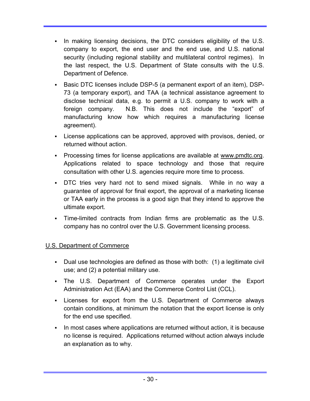- In making licensing decisions, the DTC considers eligibility of the U.S. company to export, the end user and the end use, and U.S. national security (including regional stability and multilateral control regimes). In the last respect, the U.S. Department of State consults with the U.S. Department of Defence.
- Basic DTC licenses include DSP-5 (a permanent export of an item), DSP-73 (a temporary export), and TAA (a technical assistance agreement to disclose technical data, e.g. to permit a U.S. company to work with a foreign company. N.B. This does not include the "export" of manufacturing know how which requires a manufacturing license agreement).
- License applications can be approved, approved with provisos, denied, or returned without action.
- Processing times for license applications are available at www.pmdtc.org. Applications related to space technology and those that require consultation with other U.S. agencies require more time to process.
- DTC tries very hard not to send mixed signals. While in no way a guarantee of approval for final export, the approval of a marketing license or TAA early in the process is a good sign that they intend to approve the ultimate export.
- Time-limited contracts from Indian firms are problematic as the U.S. company has no control over the U.S. Government licensing process.

### U.S. Department of Commerce

- Dual use technologies are defined as those with both: (1) a legitimate civil use; and (2) a potential military use.
- The U.S. Department of Commerce operates under the Export Administration Act (EAA) and the Commerce Control List (CCL).
- Licenses for export from the U.S. Department of Commerce always contain conditions, at minimum the notation that the export license is only for the end use specified.
- In most cases where applications are returned without action, it is because no license is required. Applications returned without action always include an explanation as to why.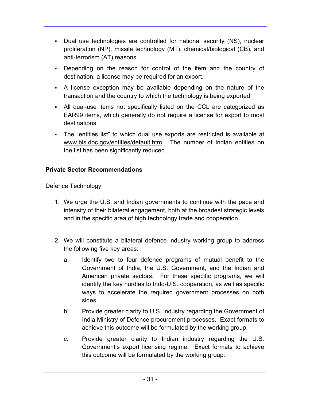- Dual use technologies are controlled for national security (NS), nuclear proliferation (NP), missile technology (MT), chemical/biological (CB), and anti-terrorism (AT) reasons.
- Depending on the reason for control of the item and the country of destination, a license may be required for an export.
- A license exception may be available depending on the nature of the transaction and the country to which the technology is being exported.
- All dual-use items not specifically listed on the CCL are categorized as EAR99 items, which generally do not require a license for export to most destinations.
- The "entities list" to which dual use exports are restricted is available at www.bis.doc.gov/entities/default.htm. The number of Indian entities on the list has been significantly reduced.

### **Private Sector Recommendations**

### Defence Technology

- 1. We urge the U.S. and Indian governments to continue with the pace and intensity of their bilateral engagement, both at the broadest strategic levels and in the specific area of high technology trade and cooperation.
- 2. We will constitute a bilateral defence industry working group to address the following five key areas:
	- a. Identify two to four defence programs of mutual benefit to the Government of India, the U.S. Government, and the Indian and American private sectors. For these specific programs, we will identify the key hurdles to Indo-U.S. cooperation, as well as specific ways to accelerate the required government processes on both sides.
	- b. Provide greater clarity to U.S. industry regarding the Government of India Ministry of Defence procurement processes. Exact formats to achieve this outcome will be formulated by the working group.
	- c. Provide greater clarity to Indian industry regarding the U.S. Government's export licensing regime. Exact formats to achieve this outcome will be formulated by the working group.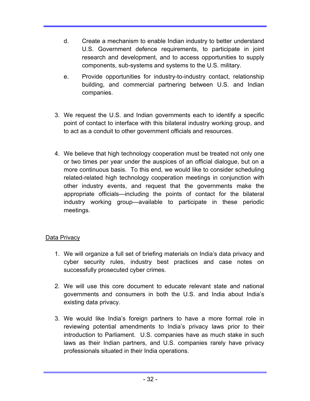- d. Create a mechanism to enable Indian industry to better understand U.S. Government defence requirements, to participate in joint research and development, and to access opportunities to supply components, sub-systems and systems to the U.S. military.
- e. Provide opportunities for industry-to-industry contact, relationship building, and commercial partnering between U.S. and Indian companies.
- 3. We request the U.S. and Indian governments each to identify a specific point of contact to interface with this bilateral industry working group, and to act as a conduit to other government officials and resources.
- 4. We believe that high technology cooperation must be treated not only one or two times per year under the auspices of an official dialogue, but on a more continuous basis. To this end, we would like to consider scheduling related-related high technology cooperation meetings in conjunction with other industry events, and request that the governments make the appropriate officials—including the points of contact for the bilateral industry working group—available to participate in these periodic meetings.

### **Data Privacy**

- 1. We will organize a full set of briefing materials on India's data privacy and cyber security rules, industry best practices and case notes on successfully prosecuted cyber crimes.
- 2. We will use this core document to educate relevant state and national governments and consumers in both the U.S. and India about India's existing data privacy.
- 3. We would like India's foreign partners to have a more formal role in reviewing potential amendments to India's privacy laws prior to their introduction to Parliament. U.S. companies have as much stake in such laws as their Indian partners, and U.S. companies rarely have privacy professionals situated in their India operations.